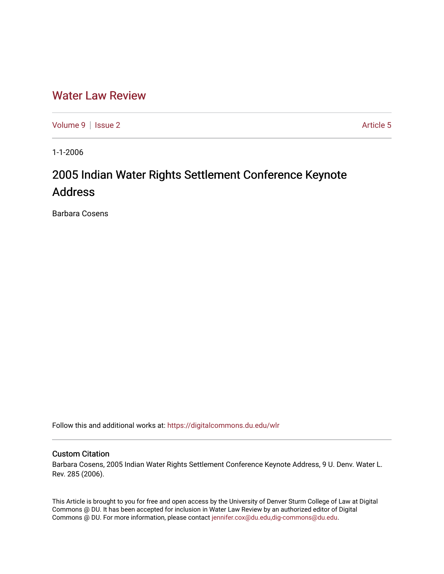## [Water Law Review](https://digitalcommons.du.edu/wlr)

[Volume 9](https://digitalcommons.du.edu/wlr/vol9) | [Issue 2](https://digitalcommons.du.edu/wlr/vol9/iss2) Article 5

1-1-2006

# 2005 Indian Water Rights Settlement Conference Keynote Address

Barbara Cosens

Follow this and additional works at: [https://digitalcommons.du.edu/wlr](https://digitalcommons.du.edu/wlr?utm_source=digitalcommons.du.edu%2Fwlr%2Fvol9%2Fiss2%2F5&utm_medium=PDF&utm_campaign=PDFCoverPages) 

#### Custom Citation

Barbara Cosens, 2005 Indian Water Rights Settlement Conference Keynote Address, 9 U. Denv. Water L. Rev. 285 (2006).

This Article is brought to you for free and open access by the University of Denver Sturm College of Law at Digital Commons @ DU. It has been accepted for inclusion in Water Law Review by an authorized editor of Digital Commons @ DU. For more information, please contact [jennifer.cox@du.edu,dig-commons@du.edu.](mailto:jennifer.cox@du.edu,dig-commons@du.edu)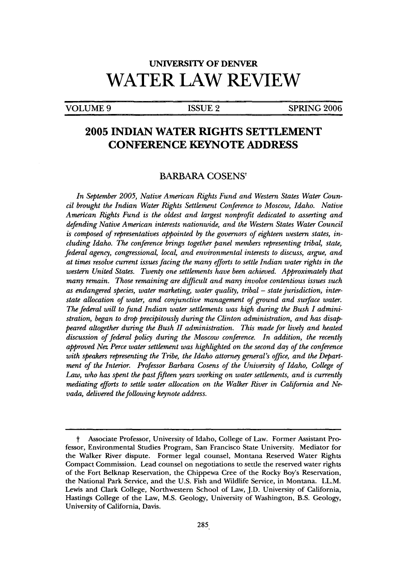## **UNIVERSITY OF DENVER WATER LAW REVIEW**

#### VOLUME 9 **ISSUE 2** SPRING 2006

## **2005 INDIAN WATER RIGHTS SETTLEMENT CONFERENCE KEYNOTE ADDRESS**

#### BARBARA **COSENSt**

*In September 2005, Native American Rights Fund and Western States Water Council brought the Indian Water Rights Settlement Conference to Moscow, Idaho. Native American Rights Fund is the oldest and largest nonprofit dedicated to asserting and defending Native American interests nationwide, and the Western States Water Council is composed of representatives appointed by the governors of eighteen western states, including Idaho. The conference brings together panel members representing tribal, state, federal agency, congressional, local, and environmental interests to discuss, argue, and at times resolve current issues facing the many efforts to settle Indian water rights in the western United States. Twenty one settlements have been achieved. Approximately that many remain. Those remaining are difficult and many involve contentious issues such* as endangered species, water marketing, water quality, tribal – state jurisdiction, inter*state allocation of water, and conjunctive management of ground and surface water. The federal will to fund Indian water settlements was high during the Bush I administration, began to drop precipitously during the Clinton administration, and has disappeared altogether during the Bush II administration. This made for lively and heated discussion of federal policy during the Moscow conference. In addition, the recently approved Nez Perce water settlement was highlighted on the second day of the conference* with speakers representing the Tribe, the Idaho attorney general's office, and the Depart*ment of the Interior. Professor Barbara Cosens of the University of Idaho, College of Law, who has spent the past fifteen years working on water settlements, and is currently mediating efforts to settle water allocation on the Walker River in California and Nevada, delivered the following keynote address.*

t Associate Professor, University of Idaho, College of Law. Former Assistant Professor, Environmental Studies Program, San Francisco State University. Mediator for the Walker River dispute. Former legal counsel, Montana Reserved Water Rights Compact Commission. Lead counsel on negotiations to settle the reserved water rights of the Fort Belknap Reservation, the Chippewa Cree of the Rocky Boy's Reservation, the National Park Service, and the **U.S.** Fish and Wildlife Service, in Montana. LL.M. Lewis and Clark College, Northwestern School of Law, **J.D.** University of California, Hastings College of the Law, **M.S.** Geology, University of Washington, B.S. Geology, University of California, Davis.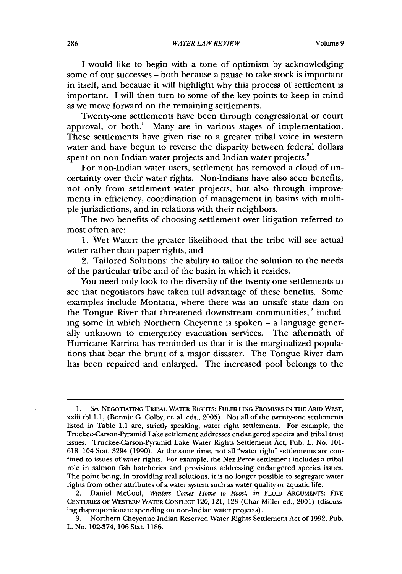I would like to begin with a tone of optimism by acknowledging some of our successes – both because a pause to take stock is important in itself, and because it will highlight why this process of settlement is important. I will then turn to some of the key points to keep in mind as we move forward on the remaining settlements.

Twenty-one settlements have been through congressional or court approval, or both.' Many are in various stages of implementation. These settlements have given rise to a greater tribal voice in western water and have begun to reverse the disparity between federal dollars spent on non-Indian water projects and Indian water projects.<sup>2</sup>

For non-Indian water users, settlement has removed a cloud of uncertainty over their water rights. Non-Indians have also seen benefits, not only from settlement water projects, but also through improvements in efficiency, coordination of management in basins with multiple jurisdictions, and in relations with their neighbors.

The two benefits of choosing settlement over litigation referred to most often are:

1. Wet Water: the greater likelihood that the tribe will see actual water rather than paper rights, and

2. Tailored Solutions: the ability to tailor the solution to the needs of the particular tribe and of the basin in which it resides.

You need only look to the diversity of the twenty-one settlements to see that negotiators have taken full advantage of these benefits. Some examples include Montana, where there was an unsafe state dam on the Tongue River that threatened downstream communities,<sup>3</sup> including some in which Northern Cheyenne is spoken - a language generally unknown to emergency evacuation services. The aftermath of Hurricane Katrina has reminded us that it is the marginalized populations that bear the brunt of a major disaster. The Tongue River dam has been repaired and enlarged. The increased pool belongs to the

*<sup>1.</sup> See* **NEGOTIATING** TRIBAL WATER RIGHTS: FULFILLING PROMISES **IN THE** ARID WEST, xxiii tbl.1.1, (Bonnie G. Colby, et. al. eds., 2005). Not all of the twenty-one settlements listed in Table 1.1 are, strictly speaking, water right settlements. For example, the Truckee-Carson-Pyramid Lake settlement addresses endangered species and tribal trust issues. Truckee-Carson-Pyramid Lake Water Rights Settlement Act, Pub. L. No. 101- 618, 104 Stat. 3294 (1990). At the same time, not all "water right" settlements are confined to issues of water rights. For example, the Nez Perce settlement includes a tribal role in salmon fish hatcheries and provisions addressing endangered species issues. The point being, in providing real solutions, it is no longer possible to segregate water rights from other attributes of a water system such as water quality or aquatic life.

<sup>2.</sup> Daniel McCool, *Winters Comes Home to Roost, in* FLUID ARGUMENTS: FIvE CENTURIES OF WESTERN WATER CONFLIcT 120, 121, 123 (Char Miller ed., 2001) (discussing disproportionate spending on non-Indian water projects).

<sup>3.</sup> Northern Cheyenne Indian Reserved Water Rights Settlement Act of 1992, Pub. L. No. 102-374, 106 Stat. 1186.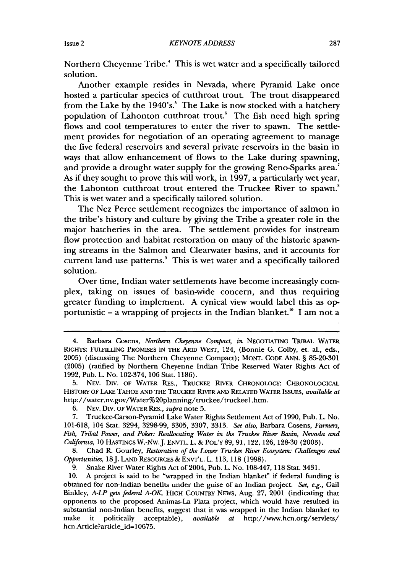Northern Cheyenne Tribe.' This is wet water and a specifically tailored solution.

Another example resides in Nevada, where Pyramid Lake once hosted a particular species of cutthroat trout. The trout disappeared from the Lake by the  $1940's$ .<sup>5</sup> The Lake is now stocked with a hatchery population of Lahonton cutthroat trout.' The fish need high spring flows and cool temperatures to enter the river to spawn. The settlement provides for negotiation of an operating agreement to manage the five federal reservoirs and several private reservoirs in the basin in ways that allow enhancement of flows to the Lake during spawning, and provide a drought water supply for the growing Reno-Sparks area.<sup>7</sup> As if they sought to prove this will work, in 1997, a particularly wet year, the Lahonton cutthroat trout entered the Truckee River to spawn.' This is wet water and a specifically tailored solution.

The Nez Perce settlement recognizes the importance of salmon in the tribe's history and culture by giving the Tribe a greater role in the major hatcheries in the area. The settlement provides for instream flow protection and habitat restoration on many of the historic spawning streams in the Salmon and Clearwater basins, and it accounts for current land use patterns.<sup>9</sup> This is wet water and a specifically tailored solution.

Over time, Indian water settlements have become increasingly complex, taking on issues of basin-wide concern, and thus requiring greater funding to implement. A cynical view would label this as opportunistic  $-$  a wrapping of projects in the Indian blanket.<sup>10</sup> I am not a

**8.** Chad R. Gourley, *Restoration of the Lower Truckee River Ecosystem: Challenges and Opportunities,* **18J.** LAND RESOURCES **&** ENVr'L. L. **113, 118 (1998).**

**9.** Snake River Water Rights Act of 2004, Pub. L. No. 108-447, 118 Stat. 3431.

**10. A** project is said to be "wrapped in the Indian blanket" if federal funding is obtained for non-Indian benefits under the guise of an Indian project. *See, e.g.,* Gail Binkley, *A-LP gets federal A-OK* HIGH COUNTRY NEWS, Aug. **27,** 2001 (indicating that opponents to the proposed Animas-La Plata project, which would have resulted in substantial non-Indian benefits, suggest that it was wrapped in the Indian blanket to make it politically acceptable), *available at* http://www.hcn.org/servlets/ hcn.Article?article\_id=10675.

<sup>4.</sup> Barbara Cosens, *Northern Cheyenne Compact, in* NEGOTIATING TRIBAL WATER RIGHTS: FULFILLING PROMISES IN THE ARID WEST, 124, (Bonnie G. Colby, et. al., eds., 2005) (discussing The Northern Cheyenne Compact); MONT. CODE ANN. § 85-20-301 (2005) (ratified by Northern Cheyenne Indian Tribe Reserved Water Rights Act of 1992, Pub. L. No. 102-374, 106 Stat. 1186).

<sup>5.</sup> NEv. Div. OF WATER RES., TRUCKEE RIVER CHRONOLOGY: CHRONOLOGICAL HISTORY OF LAKE **TAHOE AND** THE TRUCKEE RIVER **AND** RELATED WATER **ISSUES,** *available at* http://water.nv.gov/Water%20planning/truckee/truckee **1 .htm.**

**<sup>6.</sup>** NEv. Div. OF WATER RES., *supra* note **5.**

**<sup>7.</sup>** Truckee-Carson-Pyramid Lake Water Rights Settlement Act of **1990,** Pub. L. No. **101-618,** 104 Stat. 3294, **3298-99, 3305, 3307, 3313.** *See also,* Barbara Cosens, *Farmers, Fish, Tribal Power, and Poker: Reallocating Water in the Truckee River Basin, Nevada and California,* **10** HASTINGS W.-Nw.J. ENVrL. L. **& POL'Y 89, 91, 122, 126, 128-30 (2003).**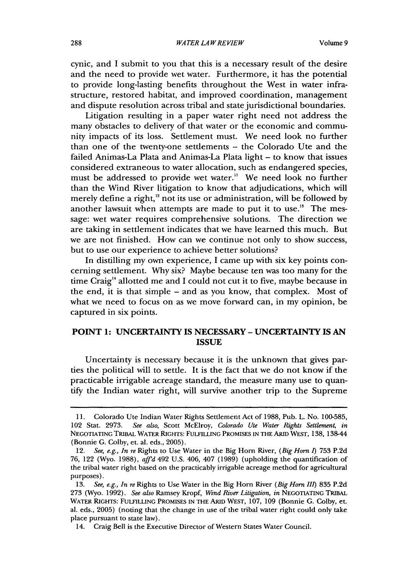cynic, and I submit to you that this is a necessary result of the desire and the need to provide wet water. Furthermore, it has the potential to provide long-lasting benefits throughout the West in water infrastructure, restored habitat, and improved coordination, management and dispute resolution across tribal and state jurisdictional boundaries.

Litigation resulting in a paper water right need not address the many obstacles to delivery of that water or the economic and community impacts of its loss. Settlement must. We need look no further than one of the twenty-one settlements - the Colorado Ute and the failed Animas-La Plata and Animas-La Plata light - to know that issues considered extraneous to water allocation, such as endangered species, must be addressed to provide wet water." We need look no further than the Wind River litigation to know that adjudications, which will merely define a right,<sup>12</sup> not its use or administration, will be followed by another lawsuit when attempts are made to put it to use." The message: wet water requires comprehensive solutions. The direction we are taking in settlement indicates that we have learned this much. But we are not finished. How can we continue not only to show success, but to use our experience to achieve better solutions?

In distilling my own experience, I came up with six key points concerning settlement. Why six? Maybe because ten was too many for the time Craig'4 allotted me and I could not cut it to five, maybe because in the end, it is that simple - and as you know, that complex. Most of what we need to focus on as we move forward can, in my opinion, be captured in six points.

#### **POINT 1: UNCERTAINTY IS NECESSARY - UNCERTAINTY IS AN ISSUE**

Uncertainty is necessary because it is the unknown that gives parties the political will to settle. It is the fact that we do not know if the practicable irrigable acreage standard, the measure many use to quantify the Indian water right, will survive another trip to the Supreme

<sup>11.</sup> Colorado Ute Indian Water Rights Settlement Act of 1988, Pub. L. No. 100-585, 102 Stat. 2973. *See also,* Scott McElroy, *Colorado Ute Water Rights Settlement, in* **NEGOTIATING TRIBAL** WATER RIGHTS: FULFILLING PROMISES **IN THE** ARID WEST, 138, 138-44 (Bonnie G. Colby, et. al. eds., 2005).

<sup>12.</sup> *See, e.g., In re* Rights to Use Water in the Big Horn River, *(Big Horn 1)* 753 P.2d *76,* 122 (Wyo. 1988), *affd* 492 U.S. 406, 407 (1989) (upholding the quantification of the tribal water right based on the practicably irrigable acreage method for agricultural purposes).

<sup>13.</sup> *See, e.g., In re* Rights to Use Water in the Big Horn River *(Big Horn 11)* 835 P.2d 273 (Wyo. 1992). *See also* Ramsey Kropf, *Wind River Litigation, in* **NEGOTIATING** TRIBAL **WATER RIGHTS: FULFILLING PROMISES IN THE ARID WEST,** 107, **109** (Bonnie **G.** Colby, et. al. eds., **2005)** (noting that the change in use of the tribal water right could only take place pursuant to state law).

<sup>14.</sup> Craig Bell is the Executive Director of Western States Water Council.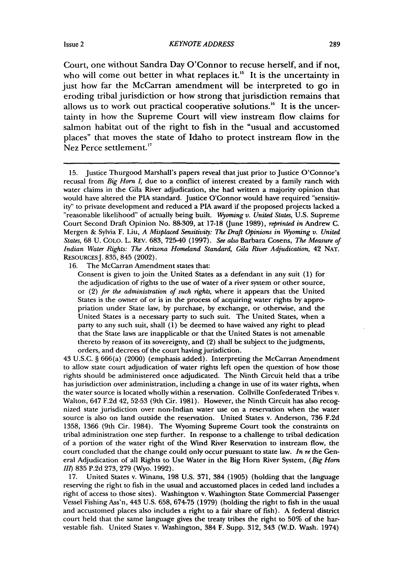Court, one without Sandra Day O'Connor to recuse herself, and if not, who will come out better in what replaces it.<sup>15</sup> It is the uncertainty in just how far the McCarran amendment will be interpreted to go in eroding tribal jurisdiction or how strong that jurisdiction remains that allows us to work out practical cooperative solutions.'6 It is the uncertainty in how the Supreme Court will view instream flow claims for salmon habitat out of the right to fish in the "usual and accustomed places" that moves the state of Idaho to protect instream flow in the Nez Perce settlement.<sup>17</sup>

16. The McCarran Amendment states that:

Consent is given to join the United States as a defendant in any suit (1) for the adjudication of rights to the use of water of a river system or other source, or (2) *for the administration of such rights,* where it appears that the United States is the owner of or is in the process of acquiring water rights by appropriation under State law, by purchase, by exchange, or otherwise, and the United States is a necessary party to such suit. The United States, when a party to any such suit, shall (1) be deemed to have waived any right to plead that the State laws are inapplicable or that the United States is not amenable thereto by reason of its sovereignty, and (2) shall be subject to the judgments, orders, and decrees of the court having jurisdiction.

43 U.S.C. § 666(a) (2000) (emphasis added). Interpreting the McCarran Amendment to allow state court adjudication of water rights left open the question of how those rights should be administered once adjudicated. The Ninth Circuit held that a tribe has jurisdiction over administration, including a change in use of its water rights, when the water source is located wholly within a reservation. Collville Confederated Tribes v. Walton, 647 F.2d 42, 52-53 (9th Cir. 1981). However, the Ninth Circuit has also recognized state jurisdiction over non-Indian water use on a reservation when the water source is also on land outside the reservation. United States v. Anderson, 736 F.2d 1358, 1366 (9th Cir. 1984). The Wyoming Supreme Court took the constraints on tribal administration one step further. In response to a challenge to tribal dedication of a portion of the water right of the Wind River Reservation to instream flow, the court concluded that the change could only occur pursuant to state law. *In re* the General Adjudication of all Rights to Use Water in the Big Horn River System, *(Big Horn II1)* 835 P.2d 273, 279 (Wyo. 1992).

17. United States v. Winans, 198 U.S. 371, 384 (1905) (holding that the language reserving the right to fish in the usual and accustomed places in ceded land includes a right of access to those sites). Washington v. Washington State Commercial Passenger Vessel Fishing Ass'n, 443 U.S. 658, 674-75 (1979) (holding the right to fish in the usual and accustomed places also includes a right to a fair share of fish). A federal district court held that the same language gives the treaty tribes the right to 50% of the harvestable fish. United States v. Washington, 384 F. Supp. 312, 343 (W.D. Wash. 1974)

<sup>15.</sup> Justice Thurgood Marshall's papers reveal that just prior to Justice O'Connor's recusal from *Big Horn I,* due to a conflict of interest created by a family ranch with water claims in the Gila River adjudication, she had written a majority opinion that would have altered the PIA standard. Justice O'Connor would have required "sensitiv-<br>ity" to private development and reduced a PIA award if the proposed projects lacked a " reasonable likelihood" of actually being built. *Wyoming v. United States*, U.S. Supreme Court Second Draft Opinion No. 88-309, at 17-18 (June 1989), *reprinted in* Andrew C. Mergen & Sylvia F. Liu, *A Misplaced Sensitivity: The Draft Opinions in Wyoming v. United States,* 68 U. COLO. L. REv. 683, 725-40 (1997). *See also* Barbara Cosens, *The Measure of Indian Water Rights: The Arizona Homeland Standard, Gila River Adjudication,* 42 NAT. RESOURCES [. 835, 845 (2002).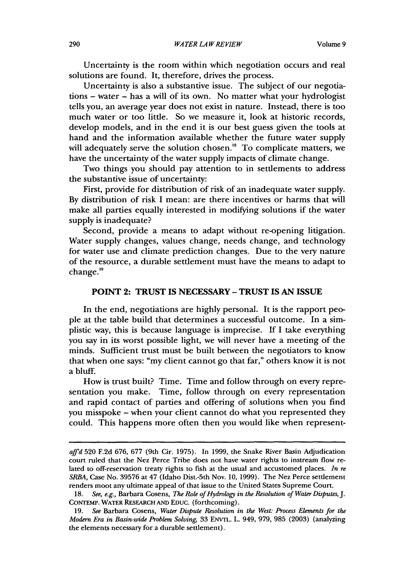Uncertainty is the room within which negotiation occurs and real solutions are found. It, therefore, drives the process.

Uncertainty is also a substantive issue. The subject of our negotiations - water - has a will of its own. No matter what your hydrologist tells you, an average year does not exist in nature. Instead, there is too much water or too little. So we measure it, look at historic records, develop models, and in the end it is our best guess given the tools at hand and the information available whether the future water supply will adequately serve the solution chosen.<sup>18</sup> To complicate matters, we have the uncertainty of the water supply impacts of climate change.

Two things you should pay attention to in settlements to address the substantive issue of uncertainty:

First, provide for distribution of risk of an inadequate water supply. By distribution of risk I mean: are there incentives or harms that will make all parties equally interested in modifying solutions if the water supply is inadequate?

Second, provide a means to adapt without re-opening litigation. Water supply changes, values change, needs change, and technology for water use and climate prediction changes. Due to the very nature of the resource, a durable settlement must have the means to adapt to change.<sup>19</sup>

#### **POINT 2: TRUST IS NECESSARY - TRUST IS AN ISSUE**

In the end, negotiations are highly personal. It is the rapport people at the table build that determines a successful outcome. In a simplistic way, this is because language is imprecise. If I take everything you say in its worst possible light, we will never have a meeting of the minds. Sufficient trust must be built between the negotiators to know that when one says: "my client cannot go that far," others know it is not a bluff.

How is trust built? Time. Time and follow through on every representation you make. Time, follow through on every representation and rapid contact of parties and offering of solutions when you find you misspoke - when your client cannot do what you represented they could. This happens more often then you would like when represent-

*affd* 520 F.2d 676, 677 (9th Cir. 1975). In 1999, the Snake River Basin Adjudication court ruled that the Nez Perce Tribe does not have water rights to instream flow related to off-reservation treaty rights to fish at the usual and accustomed places. *In re SRBA,* Case No. 39576 at 47 (Idaho Dist.-5th Nov. 10, 1999). The Nez Perce settlement renders moot any ultimate appeal of that issue to the United States Supreme Court.

<sup>18.</sup> See, e.g., Barbara Cosens, *The Role of Hydrology in the Resolution of Water Disputes, J.* CONTEMP. WATER RESEARCH **AND** EDUC. (forthcoming).

*<sup>19.</sup> See* Barbara Cosens, *Water Dispute Resolution in the West: Process Elements for the Modern Era in Basin-wide Problem Solving,* 33 ENvrL. L. 949, **979,** 985 (2003) (analyzing the elements necessary for a durable settlement).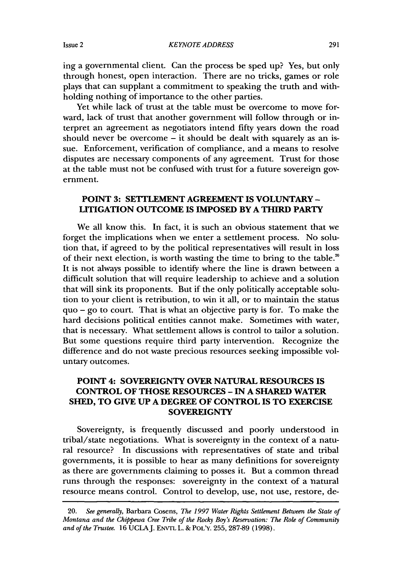ing a governmental client. Can the process be sped up? Yes, but only through honest, open interaction. There are no tricks, games or role plays that can supplant a commitment to speaking the truth and withholding nothing of importance to the other parties.

Yet while lack of trust at the table must be overcome to move forward, lack of trust that another government will follow through or interpret an agreement as negotiators intend fifty years down the road should never be overcome  $-$  it should be dealt with squarely as an issue. Enforcement, verification of compliance, and a means to resolve disputes are necessary components of any agreement. Trust for those at the table must not be confused with trust for a future sovereign government.

#### **POINT 3: SETTLEMENT AGREEMENT IS VOLUNTARY - LITIGATION OUTCOME IS IMPOSED BY A THIRD PARTY**

We all know this. In fact, it is such an obvious statement that we forget the implications when we enter a settlement process. No solution that, if agreed to by the political representatives will result in loss of their next election, is worth wasting the time to bring to the table.' It is not always possible to identify where the line is drawn between a difficult solution that will require leadership to achieve and a solution that will sink its proponents. But if the only politically acceptable solution to your client is retribution, to win it all, or to maintain the status quo - go to court. That is what an objective party is for. To make the hard decisions political entities cannot make. Sometimes with water, that is necessary. What settlement allows is control to tailor a solution. But some questions require third party intervention. Recognize the difference and do not waste precious resources seeking impossible voluntary outcomes.

### **POINT 4: SOVEREIGNTY OVER NATURAL RESOURCES IS CONTROL OF THOSE RESOURCES - IN A SHARED WATER SHED, TO GIVE UP A DEGREE OF CONTROL IS TO EXERCISE SOVEREIGNTY**

Sovereignty, is frequently discussed and poorly understood in tribal/state negotiations. What is sovereignty in the context of a natural resource? In discussions with representatives of state and tribal governments, it is possible to hear as many definitions for sovereignty as there are governments claiming to posses it. But a common thread runs through the responses: sovereignty in the context of a natural resource means control. Control to develop, use, not use, restore, de-

<sup>20.</sup> *See generally,* Barbara Cosens, *The 1997 Water Rights Settlement Between the State of Montana and the Chippewa Cree Tribe of the Rocky Boy's Reservation: The Role of Community* and of the Trustee. 16 UCLA J. ENVTL L. & POL'Y. 255, 287-89 (1998).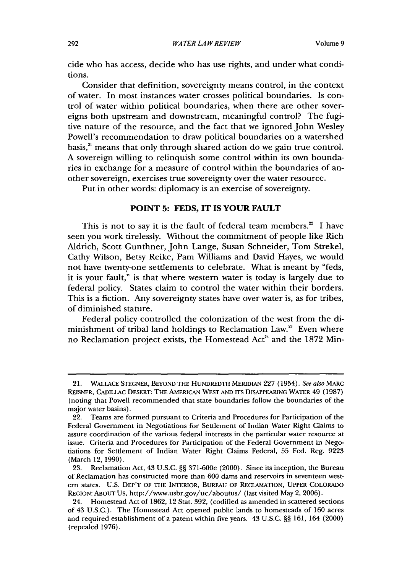cide who has access, decide who has use rights, and under what conditions.

Consider that definition, sovereignty means control, in the context of water. In most instances water crosses political boundaries. Is control of water within political boundaries, when there are other sovereigns both upstream and downstream, meaningful control? The fugitive nature of the resource, and the fact that we ignored John Wesley Powell's recommendation to draw political boundaries on a watershed basis,<sup>21</sup> means that only through shared action do we gain true control. A sovereign willing to relinquish some control within its own boundaries in exchange for a measure of control within the boundaries of another sovereign, exercises true sovereignty over the water resource.

Put in other words: diplomacy is an exercise of sovereignty.

#### **POINT 5: FEDS, IT IS YOUR FAULT**

This is not to say it is the fault of federal team members." **I have** seen you work tirelessly. Without the commitment of people like Rich Aldrich, Scott Gunthner, John Lange, Susan Schneider, Tom Strekel, Cathy Wilson, Betsy Reike, Pam Williams and David Hayes, we would not have twenty-one settlements to celebrate. What is meant **by** "feds, it is your fault," is that where western water is today is largely due to federal policy. States claim to control the water within their borders. This is a fiction. Any sovereignty states have over water is, as for tribes, of diminished stature.

Federal policy controlled the colonization of the west from the diminishment of tribal land holdings to Reclamation Law.<sup>25</sup> Even where no Reclamation project exists, the Homestead Act<sup>24</sup> and the 1872 Min-

<sup>21.</sup> **WALLACE STEGNER,** BEYOND THE **HUNDREDTH** MERIDIAN **227** (1954). *See also* MARC REISNER, CADILLAC DESERT: THE **AMERICAN** WEST AND ITS DISAPPEARING WATER 49 (1987) (noting that Powell recommended that state boundaries follow the boundaries of the major water basins).

<sup>22.</sup> Teams are formed pursuant to Criteria and Procedures for Participation of the Federal Government in Negotiations for Settlement of Indian Water Right Claims to assure coordination of the various federal interests in the particular water resource at issue. Criteria and Procedures for Participation of the Federal Government in Negotiations for Settlement of Indian Water Right Claims Federal, 55 Fed. Reg. 9223 (March 12, 1990).

<sup>23.</sup> Reclamation Act, 43 U.S.C. §§ 371-600e (2000). Since its inception, the Bureau of Reclamation has constructed more than 600 dams and reservoirs in seventeen western states. U.S. DEP'T OF THE INTERIOR, BUREAU **OF** RECLAMATION, UPPER COLORADO REGION: ABOUT Us, http://www.usbr.gov/uc/aboutus/ (last visited May 2, 2006).

<sup>24.</sup> Homestead Act of 1862, 12 Stat. 392, (codified as amended in scattered sections of 43 U.S.C.). The Homestead Act opened public lands to homesteads of 160 acres and required establishment of a patent within five years. 43 U.S.C. §§ 161, 164 (2000) (repealed 1976).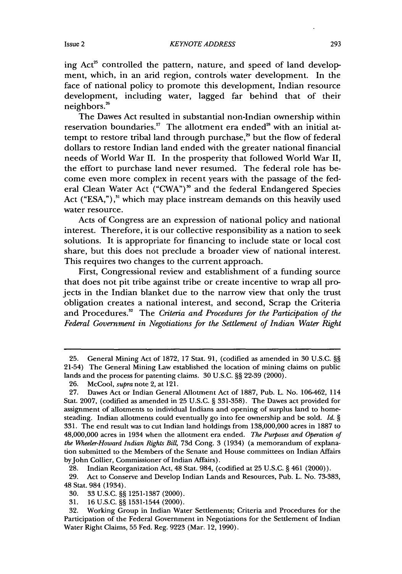ing Act<sup>25</sup> controlled the pattern, nature, and speed of land development, which, in an arid region, controls water development. In the face of national policy to promote this development, Indian resource development, including water, lagged far behind that of their

neighbors.' The Dawes Act resulted in substantial non-Indian ownership within reservation boundaries.<sup>27</sup> The allotment era ended<sup>28</sup> with an initial attempt to restore tribal land through purchase,<sup>39</sup> but the flow of federal dollars to restore Indian land ended with the greater national financial needs of World War II. In the prosperity that followed World War II, the effort to purchase land never resumed. The federal role has become even more complex in recent years with the passage of the federal Clean Water Act ("CWA")" and the federal Endangered Species Act ("ESA,"),<sup>31</sup> which may place instream demands on this heavily used water resource.

Acts of Congress are an expression of national policy and national interest. Therefore, it is our collective responsibility as a nation to seek solutions. It is appropriate for financing to include state or local cost share, but this does not preclude a broader view of national interest. This requires two changes to the current approach.

First, Congressional review and establishment of a funding source that does not pit tribe against tribe or create incentive to wrap all projects in the Indian blanket due to the narrow view that only the trust obligation creates a national interest, and second, Scrap the Criteria and Procedures." The *Criteria and Procedures for the Participation of the Federal Government in Negotiations for the Settlement of Indian Water Right*

28. Indian Reorganization Act, 48 Stat. 984, (codified at 25 U.S.C. § 461 (2000)).

29. Act to Conserve and Develop Indian Lands and Resources, Pub. L. No. 73-383, 48 Stat. 984 (1934).

31. 16 U.S.C. §§ 1531-1544 (2000).

<sup>25.</sup> General Mining Act of 1872, 17 Stat. 91, (codified as amended in 30 U.S.C. §§ 21-54) The General Mining Law established the location of mining claims on public lands and the process for patenting claims. 30 U.S.C. §§ 22-39 (2000).

<sup>26.</sup> McCool, *supra* note 2, at 121.

<sup>27.</sup> Dawes Act or Indian General Allotment Act of 1887, Pub. L. No. 106-462, 114 Stat. 2007, (codified as amended in 25 U.S.C. § 331-358). The Dawes act provided for assignment of allotments to individual Indians and opening of surplus land to homesteading. Indian allotments could eventually go into fee ownership and be sold. *Id. §* 331. The end result was to cut Indian land holdings from 138,000,000 acres in 1887 to 48,000,000 acres in 1934 when the allotment era ended. *The Purposes and Operation of the Wheeler-Howard Indian Rights Bill,* 73d Cong. 3 (1934) (a memorandum of explanation submitted to the Members of the Senate and House committees on Indian Affairs by John Collier, Commissioner of Indian Affairs).

<sup>30. 33</sup> U.S.C. §§ 1251-1387 (2000).

<sup>32.</sup> Working Group in Indian Water Settlements; Criteria and Procedures for the Participation of the Federal Government in Negotiations for the Settlement of Indian Water Right Claims, 55 Fed. Reg. 9223 (Mar. 12, 1990).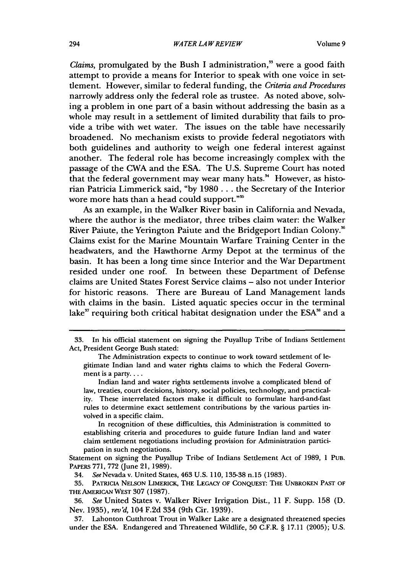*Claims,* promulgated by the Bush I administration," were a good faith attempt to provide a means for Interior to speak with one voice in setflement. However, similar to federal funding, the *Criteria and Procedures* narrowly address only the federal role as trustee. As noted above, solving a problem in one part of a basin without addressing the basin as a whole may result in a settlement of limited durability that fails to provide a tribe with wet water. The issues on the table have necessarily broadened. No mechanism exists to provide federal negotiators with both guidelines and authority to weigh one federal interest against another. The federal role has become increasingly complex with the passage of the CWA and the ESA. The U.S. Supreme Court has noted that the federal government may wear many hats.<sup>34</sup> However, as historian Patricia Limmerick said, "by 1980... the Secretary of the Interior wore more hats than a head could support."'

As an example, in the Walker River basin in California and Nevada, where the author is the mediator, three tribes claim water: the Walker River Paiute, the Yerington Paiute and the Bridgeport Indian Colony.<sup>86</sup> Claims exist for the Marine Mountain Warfare Training Center in the headwaters, and the Hawthorne Army Depot at the terminus of the basin. It has been a long time since Interior and the War Department resided under one roof. In between these Department of Defense claims are United States Forest Service claims - also not under Interior for historic reasons. There are Bureau of Land Management lands with claims in the basin. Listed aquatic species occur in the terminal lake<sup>37</sup> requiring both critical habitat designation under the ESA<sup>38</sup> and a

In recognition of these difficulties, this Administration is committed to establishing criteria and procedures to guide future Indian land and water claim settlement negotiations including provision for Administration participation in such negotiations.

Statement on signing the Puyallup Tribe of Indians Settlement Act of 1989, 1 PUB. PAPERS **771, 772** (June 21, 1989).

34. SeeNevada v. United States, 463 **U.S. 110, 135-38** n.15 **(1983).**

**35.** PATRICIA **NELSON** LIMERICK, **THE LEGACY OF** CONQUEST: THE **UNBROKEN PAST** OF THE AMERICAN WEST **307 (1987).**

**36.** *See* United States v. Walker River Irrigation Dist., **11** F. Supp. **158 (D.** Nev. 1935), rev'd, 104 F.2d 334 (9th Cir. 1939).

**37.** Lahonton Cutthroat Trout in Walker Lake are a designated threatened species under the **ESA.** Endangered and Threatened Wildlife, **50** C.F.R. § **17.11 (2005); U.S.**

<sup>33.</sup> In his official statement on signing the Puyallup Tribe of Indians Settlement Act, President George Bush stated:

The Administration expects to continue to work toward settlement of legitimate Indian land and water rights claims to which the Federal Government is a party....

Indian land and water rights settlements involve a complicated blend of law, treaties, court decisions, history, social policies, technology, and practicality. These interrelated factors make it difficult to formulate hard-and-fast rules to determine exact settlement contributions by the various parties involved in a specific claim.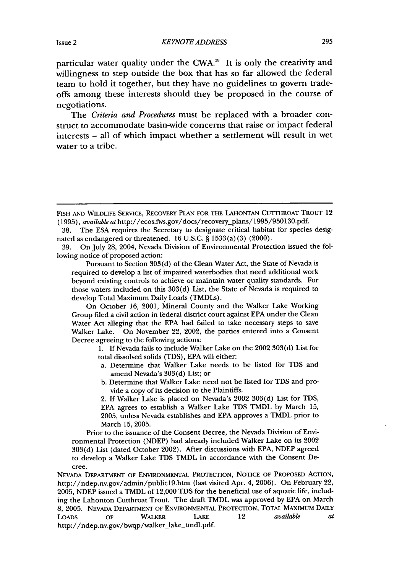particular water quality under the CWA.<sup>39</sup> It is only the creativity and willingness to step outside the box that has so far allowed the federal team to hold it together, but they have no guidelines to govern tradeoffs among these interests should they be proposed in the course of negotiations.

The *Criteria and Procedures* must be replaced with a broader construct to accommodate basin-wide concerns that raise or impact federal interests - all of which impact whether a settlement will result in wet water to a tribe.

Pursuant to Section 303(d) of the Clean Water Act, the State of Nevada is required to develop a list of impaired waterbodies that need additional work beyond existing controls to achieve or maintain water quality standards. For those waters included on this 303(d) List, the State of Nevada is required to develop Total Maximum Daily Loads (TMDLs).

On October 16, 2001, Mineral County and the Walker Lake Working Group filed a civil action in federal district court against EPA under the Clean Water Act alleging that the EPA had failed to take necessary steps to save Walker Lake. On November 22, 2002, the parties entered into a Consent Decree agreeing to the following actions:

> 1. If Nevada fails to include Walker Lake on the 2002 303(d) List for total dissolved solids (TDS), EPA will either:

- a. Determine that Walker Lake needs to be listed for TDS and amend Nevada's 303(d) List; or
- b. Determine that Walker Lake need not be listed for TDS and provide a copy of its decision to the Plaintiffs.

2. If Walker Lake is placed on Nevada's 2002 303(d) List for TDS, EPA agrees to establish a Walker Lake TDS TMDL by March 15, 2005, unless Nevada establishes and EPA approves a TMDL prior to March 15, 2005.

Prior to the issuance of the Consent Decree, the Nevada Division of Environmental Protection (NDEP) had already included Walker Lake on its 2002 303(d) List (dated October 2002). After discussions with EPA, NDEP agreed to develop a Walker Lake TDS TMDL in accordance with the Consent Decree.

**NEVADA** DEPARTMENT OF **ENVIRONMENTAL** PROTECTION, NOTICE OF PROPOSED ACTION, http://ndep.nv.gov/admin/public19.htm (last visited Apr. 4, **2006).** On February 22, **2005, NDEP** issued a TMDL of 12,000 **TDS** for the beneficial use of aquatic life, **includ**ing the Lahonton Cutthroat Trout. The draft TMDL was approved **by EPA** on March **8, 2005.** NEVADA DEPARTMENT OF **ENVIRONMENTAL** PROTECTION, TOTAL MAXIMUM DAILY LOADS OF WALKER LAKE 12 *available at* http://ndep.nv.gov/bwqp/walker\_lake\_tmdl.pdf.

FISH **AND** WILDLIFE SERVICE, RECOVERY PLAN FOR THE LAHONTAN CUTTHROAT TROUT 12 (1995), *available at* http://ecos.fws.gov/docs/recovery-plans/1995/950130.pdf.

<sup>38.</sup> The ESA requires the Secretary to designate critical habitat for species designated as endangered or threatened. 16 U.S.C. § 1533(a) (3) (2000).

<sup>39.</sup> On July 28, 2004, Nevada Division of Environmental Protection issued the following notice of proposed action: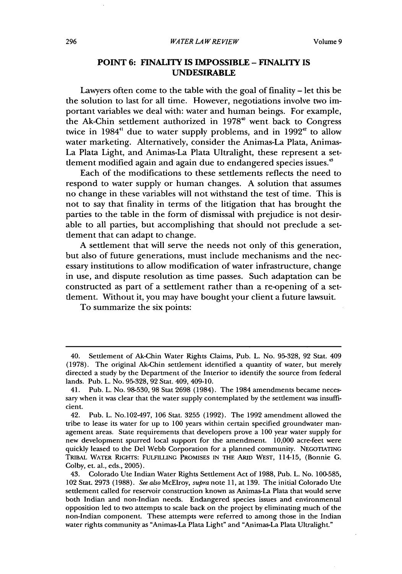#### *WATER LA W RE VIEW*

#### **POINT 6: FINALITY IS IMPOSSIBLE -** FINALITY **IS UNDESIRABLE**

Lawyers often come to the table with the goal of finality **-** let this be the solution to last for all time. However, negotiations involve two important variables we deal with: water and human beings. For example, the Ak-Chin settlement authorized in 1978' went back to Congress twice in 1984<sup>41</sup> due to water supply problems, and in 1992<sup> $42$ </sup> to allow water marketing. Alternatively, consider the Animas-La Plata, Animas-La Plata Light, and Animas-La Plata Ultralight, these represent a setdement modified again and again due to endangered species issues."

Each of the modifications to these settlements reflects the need to respond to water supply or human changes. A solution that assumes no change in these variables will not withstand the test of time. This is not to say that finality in terms of the litigation that has brought the parties to the table in the form of dismissal with prejudice is not desirable to all parties, but accomplishing that should not preclude a setdement that can adapt to change.

A settlement that will serve the needs not only of this generation, but also of future generations, must include mechanisms and the necessary institutions to allow modification of water infrastructure, change in use, and dispute resolution as time passes. Such adaptation can be constructed as part of a settlement rather than a re-opening of a settlement. Without it, you may have bought your client a future lawsuit.

To summarize the six points:

<sup>40.</sup> Settlement of Ak-Chin Water Rights Claims, Pub. L. No. 95-328, 92 Stat. 409 (1978). The original Ak-Chin settlement identified a quantity of water, but merely directed a study by the Department of the Interior to identify the source from federal lands. Pub. L. No. 95-328, 92 Stat. 409, 409-10.

<sup>41.</sup> Pub. L. No. 98-530, 98 Stat 2698 (1984). The 1984 amendments became necessary when it was clear that the water supply contemplated by the settlement was insufficient.

<sup>42.</sup> Pub. L. No.102-497, 106 Stat. 3255 (1992). The 1992 amendment allowed the tribe to lease its water for up to 100 years within certain specified groundwater management areas. State requirements that developers prove a 100 year water supply for new development spurred local support for the amendment. 10,000 acre-feet were quickly leased to the Del Webb Corporation for a planned community. **NEGOTIATING** TRIBAL WATER RIGHTS: FULFILLING PROMISES IN THE **ARID** WEST, 114-15, (Bonnie **G.** Colby, et. al., eds., 2005).

<sup>43.</sup> Colorado Ute Indian Water Rights Settlement Act of 1988, Pub. L. No. 100-585, 102 Stat. 2973 (1988). *See also* McElroy, *supra* note 11, at 139. The initial Colorado Ute settlement called for reservoir construction known as Animas-La Plata that would serve both Indian and non-Indian needs. Endangered species issues and environmental opposition led to two attempts to scale back on the project by eliminating much of the non-Indian component. These attempts were referred to among those in the Indian water rights community as "Animas-La Plata Light" and "Animas-La Plata Ultralight."